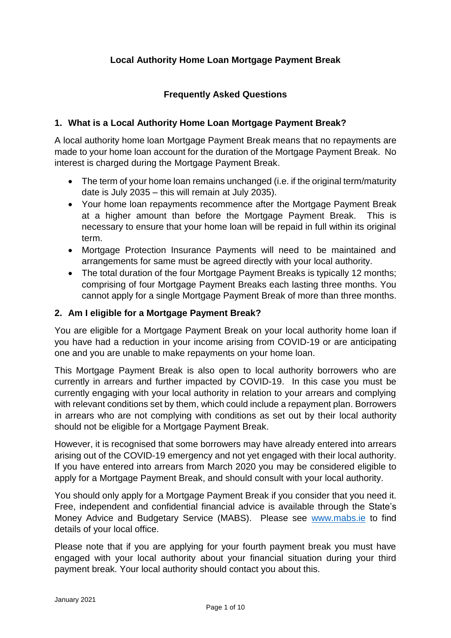## **Local Authority Home Loan Mortgage Payment Break**

## **Frequently Asked Questions**

## **1. What is a Local Authority Home Loan Mortgage Payment Break?**

A local authority home loan Mortgage Payment Break means that no repayments are made to your home loan account for the duration of the Mortgage Payment Break. No interest is charged during the Mortgage Payment Break.

- The term of your home loan remains unchanged (i.e. if the original term/maturity date is July 2035 – this will remain at July 2035).
- Your home loan repayments recommence after the Mortgage Payment Break at a higher amount than before the Mortgage Payment Break. This is necessary to ensure that your home loan will be repaid in full within its original term.
- Mortgage Protection Insurance Payments will need to be maintained and arrangements for same must be agreed directly with your local authority.
- The total duration of the four Mortgage Payment Breaks is typically 12 months; comprising of four Mortgage Payment Breaks each lasting three months. You cannot apply for a single Mortgage Payment Break of more than three months.

#### **2. Am I eligible for a Mortgage Payment Break?**

You are eligible for a Mortgage Payment Break on your local authority home loan if you have had a reduction in your income arising from COVID-19 or are anticipating one and you are unable to make repayments on your home loan.

This Mortgage Payment Break is also open to local authority borrowers who are currently in arrears and further impacted by COVID-19. In this case you must be currently engaging with your local authority in relation to your arrears and complying with relevant conditions set by them, which could include a repayment plan. Borrowers in arrears who are not complying with conditions as set out by their local authority should not be eligible for a Mortgage Payment Break.

However, it is recognised that some borrowers may have already entered into arrears arising out of the COVID-19 emergency and not yet engaged with their local authority. If you have entered into arrears from March 2020 you may be considered eligible to apply for a Mortgage Payment Break, and should consult with your local authority.

You should only apply for a Mortgage Payment Break if you consider that you need it. Free, independent and confidential financial advice is available through the State's Money Advice and Budgetary Service (MABS). Please see [www.mabs.ie](http://www.mabs.ie/) to find details of your local office.

Please note that if you are applying for your fourth payment break you must have engaged with your local authority about your financial situation during your third payment break. Your local authority should contact you about this.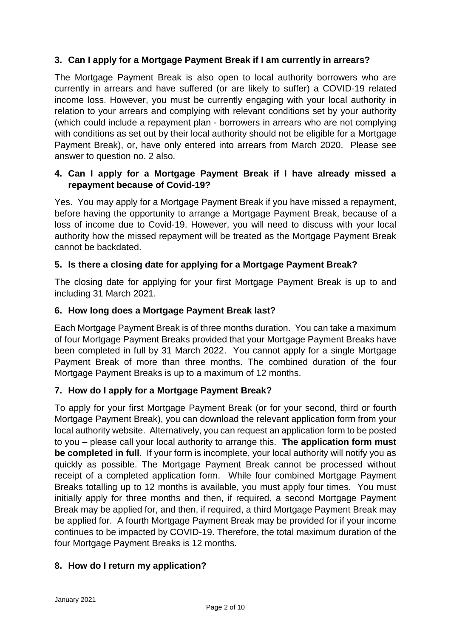## **3. Can I apply for a Mortgage Payment Break if I am currently in arrears?**

The Mortgage Payment Break is also open to local authority borrowers who are currently in arrears and have suffered (or are likely to suffer) a COVID-19 related income loss. However, you must be currently engaging with your local authority in relation to your arrears and complying with relevant conditions set by your authority (which could include a repayment plan - borrowers in arrears who are not complying with conditions as set out by their local authority should not be eligible for a Mortgage Payment Break), or, have only entered into arrears from March 2020. Please see answer to question no. 2 also.

### **4. Can I apply for a Mortgage Payment Break if I have already missed a repayment because of Covid-19?**

Yes. You may apply for a Mortgage Payment Break if you have missed a repayment, before having the opportunity to arrange a Mortgage Payment Break, because of a loss of income due to Covid-19. However, you will need to discuss with your local authority how the missed repayment will be treated as the Mortgage Payment Break cannot be backdated.

## **5. Is there a closing date for applying for a Mortgage Payment Break?**

The closing date for applying for your first Mortgage Payment Break is up to and including 31 March 2021.

### **6. How long does a Mortgage Payment Break last?**

Each Mortgage Payment Break is of three months duration. You can take a maximum of four Mortgage Payment Breaks provided that your Mortgage Payment Breaks have been completed in full by 31 March 2022. You cannot apply for a single Mortgage Payment Break of more than three months. The combined duration of the four Mortgage Payment Breaks is up to a maximum of 12 months.

## **7. How do I apply for a Mortgage Payment Break?**

To apply for your first Mortgage Payment Break (or for your second, third or fourth Mortgage Payment Break), you can download the relevant application form from your local authority website. Alternatively, you can request an application form to be posted to you – please call your local authority to arrange this. **The application form must be completed in full**. If your form is incomplete, your local authority will notify you as quickly as possible. The Mortgage Payment Break cannot be processed without receipt of a completed application form. While four combined Mortgage Payment Breaks totalling up to 12 months is available, you must apply four times. You must initially apply for three months and then, if required, a second Mortgage Payment Break may be applied for, and then, if required, a third Mortgage Payment Break may be applied for. A fourth Mortgage Payment Break may be provided for if your income continues to be impacted by COVID-19. Therefore, the total maximum duration of the four Mortgage Payment Breaks is 12 months.

#### **8. How do I return my application?**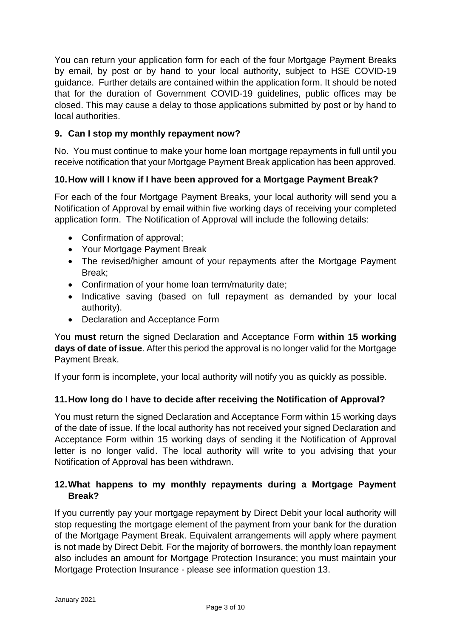You can return your application form for each of the four Mortgage Payment Breaks by email, by post or by hand to your local authority, subject to HSE COVID-19 guidance. Further details are contained within the application form. It should be noted that for the duration of Government COVID-19 guidelines, public offices may be closed. This may cause a delay to those applications submitted by post or by hand to local authorities.

## **9. Can I stop my monthly repayment now?**

No. You must continue to make your home loan mortgage repayments in full until you receive notification that your Mortgage Payment Break application has been approved.

### **10.How will I know if I have been approved for a Mortgage Payment Break?**

For each of the four Mortgage Payment Breaks, your local authority will send you a Notification of Approval by email within five working days of receiving your completed application form. The Notification of Approval will include the following details:

- Confirmation of approval;
- Your Mortgage Payment Break
- The revised/higher amount of your repayments after the Mortgage Payment Break;
- Confirmation of your home loan term/maturity date;
- Indicative saving (based on full repayment as demanded by your local authority).
- Declaration and Acceptance Form

You **must** return the signed Declaration and Acceptance Form **within 15 working days of date of issue**. After this period the approval is no longer valid for the Mortgage Payment Break.

If your form is incomplete, your local authority will notify you as quickly as possible.

#### **11.How long do I have to decide after receiving the Notification of Approval?**

You must return the signed Declaration and Acceptance Form within 15 working days of the date of issue. If the local authority has not received your signed Declaration and Acceptance Form within 15 working days of sending it the Notification of Approval letter is no longer valid. The local authority will write to you advising that your Notification of Approval has been withdrawn.

### **12.What happens to my monthly repayments during a Mortgage Payment Break?**

If you currently pay your mortgage repayment by Direct Debit your local authority will stop requesting the mortgage element of the payment from your bank for the duration of the Mortgage Payment Break. Equivalent arrangements will apply where payment is not made by Direct Debit. For the majority of borrowers, the monthly loan repayment also includes an amount for Mortgage Protection Insurance; you must maintain your Mortgage Protection Insurance - please see information question 13.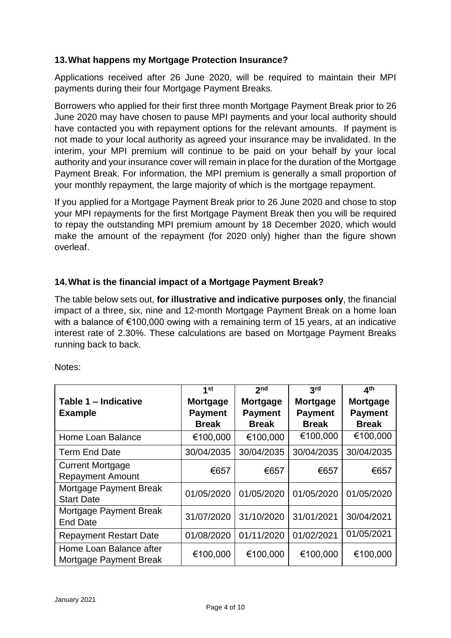### **13.What happens my Mortgage Protection Insurance?**

Applications received after 26 June 2020, will be required to maintain their MPI payments during their four Mortgage Payment Breaks.

Borrowers who applied for their first three month Mortgage Payment Break prior to 26 June 2020 may have chosen to pause MPI payments and your local authority should have contacted you with repayment options for the relevant amounts. If payment is not made to your local authority as agreed your insurance may be invalidated. In the interim, your MPI premium will continue to be paid on your behalf by your local authority and your insurance cover will remain in place for the duration of the Mortgage Payment Break. For information, the MPI premium is generally a small proportion of your monthly repayment, the large majority of which is the mortgage repayment.

If you applied for a Mortgage Payment Break prior to 26 June 2020 and chose to stop your MPI repayments for the first Mortgage Payment Break then you will be required to repay the outstanding MPI premium amount by 18 December 2020, which would make the amount of the repayment (for 2020 only) higher than the figure shown overleaf.

### **14.What is the financial impact of a Mortgage Payment Break?**

The table below sets out, **for illustrative and indicative purposes only**, the financial impact of a three, six, nine and 12-month Mortgage Payment Break on a home loan with a balance of €100,000 owing with a remaining term of 15 years, at an indicative interest rate of 2.30%. These calculations are based on Mortgage Payment Breaks running back to back.

| Notes: |
|--------|
|--------|

|                                                   | 1 <sub>st</sub> | 2 <sub>nd</sub> | 3rd             | 4 <sup>th</sup> |
|---------------------------------------------------|-----------------|-----------------|-----------------|-----------------|
| Table 1 - Indicative                              | <b>Mortgage</b> | Mortgage        | <b>Mortgage</b> | Mortgage        |
| <b>Example</b>                                    | <b>Payment</b>  | <b>Payment</b>  | <b>Payment</b>  | <b>Payment</b>  |
|                                                   | <b>Break</b>    | <b>Break</b>    | <b>Break</b>    | <b>Break</b>    |
| Home Loan Balance                                 | €100,000        | €100,000        | €100,000        | €100,000        |
| <b>Term End Date</b>                              | 30/04/2035      | 30/04/2035      | 30/04/2035      | 30/04/2035      |
| <b>Current Mortgage</b>                           | €657            | €657            | €657            | €657            |
| <b>Repayment Amount</b>                           |                 |                 |                 |                 |
| Mortgage Payment Break<br><b>Start Date</b>       | 01/05/2020      | 01/05/2020      | 01/05/2020      | 01/05/2020      |
| Mortgage Payment Break<br><b>End Date</b>         | 31/07/2020      | 31/10/2020      | 31/01/2021      | 30/04/2021      |
| <b>Repayment Restart Date</b>                     | 01/08/2020      | 01/11/2020      | 01/02/2021      | 01/05/2021      |
| Home Loan Balance after<br>Mortgage Payment Break | €100,000        | €100,000        | €100,000        | €100,000        |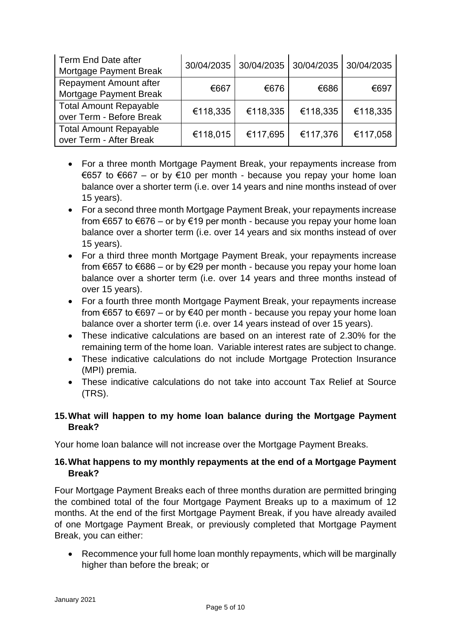| Term End Date after<br>Mortgage Payment Break             |          | 30/04/2035 30/04/2035 | 30/04/2035 30/04/2035 |          |
|-----------------------------------------------------------|----------|-----------------------|-----------------------|----------|
| <b>Repayment Amount after</b><br>Mortgage Payment Break   | €667     | €676                  | €686                  | €697     |
| <b>Total Amount Repayable</b><br>over Term - Before Break | €118,335 | €118,335              | €118,335              | €118,335 |
| <b>Total Amount Repayable</b><br>over Term - After Break  | €118,015 | €117,695              | €117,376              | €117,058 |

- For a three month Mortgage Payment Break, your repayments increase from €657 to €667 – or by €10 per month - because you repay your home loan balance over a shorter term (i.e. over 14 years and nine months instead of over 15 years).
- For a second three month Mortgage Payment Break, your repayments increase from  $\epsilon$ 657 to  $\epsilon$ 676 – or by  $\epsilon$ 19 per month - because you repay your home loan balance over a shorter term (i.e. over 14 years and six months instead of over 15 years).
- For a third three month Mortgage Payment Break, your repayments increase from €657 to €686 – or by €29 per month - because you repay your home loan balance over a shorter term (i.e. over 14 years and three months instead of over 15 years).
- For a fourth three month Mortgage Payment Break, your repayments increase from €657 to €697 – or by €40 per month - because you repay your home loan balance over a shorter term (i.e. over 14 years instead of over 15 years).
- These indicative calculations are based on an interest rate of 2.30% for the remaining term of the home loan. Variable interest rates are subject to change.
- These indicative calculations do not include Mortgage Protection Insurance (MPI) premia.
- These indicative calculations do not take into account Tax Relief at Source (TRS).

# **15.What will happen to my home loan balance during the Mortgage Payment Break?**

Your home loan balance will not increase over the Mortgage Payment Breaks.

## **16.What happens to my monthly repayments at the end of a Mortgage Payment Break?**

Four Mortgage Payment Breaks each of three months duration are permitted bringing the combined total of the four Mortgage Payment Breaks up to a maximum of 12 months. At the end of the first Mortgage Payment Break, if you have already availed of one Mortgage Payment Break, or previously completed that Mortgage Payment Break, you can either:

 Recommence your full home loan monthly repayments, which will be marginally higher than before the break; or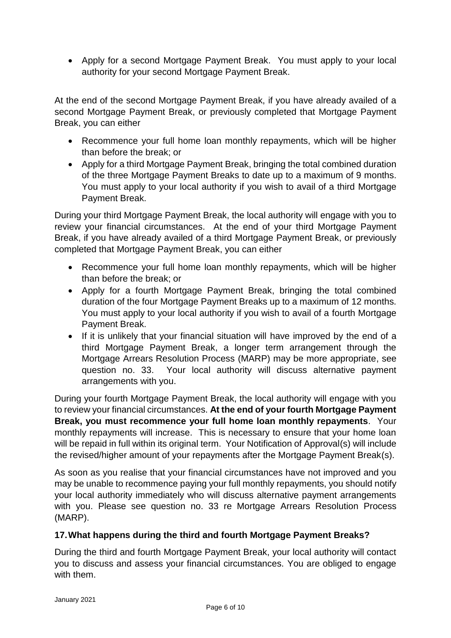Apply for a second Mortgage Payment Break. You must apply to your local authority for your second Mortgage Payment Break.

At the end of the second Mortgage Payment Break, if you have already availed of a second Mortgage Payment Break, or previously completed that Mortgage Payment Break, you can either

- Recommence your full home loan monthly repayments, which will be higher than before the break; or
- Apply for a third Mortgage Payment Break, bringing the total combined duration of the three Mortgage Payment Breaks to date up to a maximum of 9 months. You must apply to your local authority if you wish to avail of a third Mortgage Payment Break.

During your third Mortgage Payment Break, the local authority will engage with you to review your financial circumstances. At the end of your third Mortgage Payment Break, if you have already availed of a third Mortgage Payment Break, or previously completed that Mortgage Payment Break, you can either

- Recommence your full home loan monthly repayments, which will be higher than before the break; or
- Apply for a fourth Mortgage Payment Break, bringing the total combined duration of the four Mortgage Payment Breaks up to a maximum of 12 months. You must apply to your local authority if you wish to avail of a fourth Mortgage Payment Break.
- If it is unlikely that your financial situation will have improved by the end of a third Mortgage Payment Break, a longer term arrangement through the Mortgage Arrears Resolution Process (MARP) may be more appropriate, see question no. 33. Your local authority will discuss alternative payment arrangements with you.

During your fourth Mortgage Payment Break, the local authority will engage with you to review your financial circumstances. **At the end of your fourth Mortgage Payment Break, you must recommence your full home loan monthly repayments**. Your monthly repayments will increase. This is necessary to ensure that your home loan will be repaid in full within its original term. Your Notification of Approval(s) will include the revised/higher amount of your repayments after the Mortgage Payment Break(s).

As soon as you realise that your financial circumstances have not improved and you may be unable to recommence paying your full monthly repayments, you should notify your local authority immediately who will discuss alternative payment arrangements with you. Please see question no. 33 re Mortgage Arrears Resolution Process (MARP).

## **17.What happens during the third and fourth Mortgage Payment Breaks?**

During the third and fourth Mortgage Payment Break, your local authority will contact you to discuss and assess your financial circumstances. You are obliged to engage with them.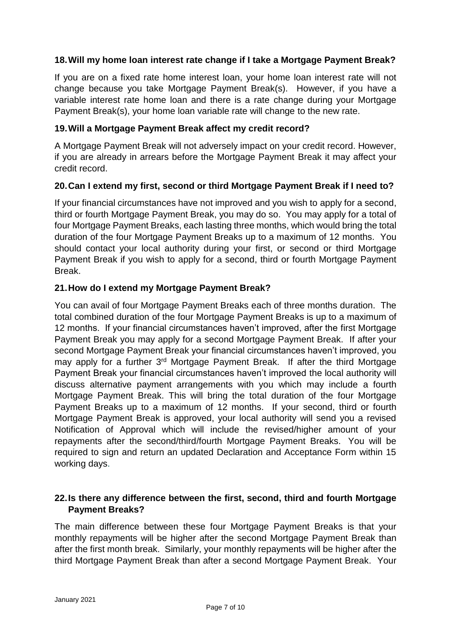### **18.Will my home loan interest rate change if I take a Mortgage Payment Break?**

If you are on a fixed rate home interest loan, your home loan interest rate will not change because you take Mortgage Payment Break(s). However, if you have a variable interest rate home loan and there is a rate change during your Mortgage Payment Break(s), your home loan variable rate will change to the new rate.

#### **19.Will a Mortgage Payment Break affect my credit record?**

A Mortgage Payment Break will not adversely impact on your credit record. However, if you are already in arrears before the Mortgage Payment Break it may affect your credit record.

#### **20.Can I extend my first, second or third Mortgage Payment Break if I need to?**

If your financial circumstances have not improved and you wish to apply for a second, third or fourth Mortgage Payment Break, you may do so. You may apply for a total of four Mortgage Payment Breaks, each lasting three months, which would bring the total duration of the four Mortgage Payment Breaks up to a maximum of 12 months. You should contact your local authority during your first, or second or third Mortgage Payment Break if you wish to apply for a second, third or fourth Mortgage Payment Break.

### **21.How do I extend my Mortgage Payment Break?**

You can avail of four Mortgage Payment Breaks each of three months duration. The total combined duration of the four Mortgage Payment Breaks is up to a maximum of 12 months. If your financial circumstances haven't improved, after the first Mortgage Payment Break you may apply for a second Mortgage Payment Break. If after your second Mortgage Payment Break your financial circumstances haven't improved, you may apply for a further 3<sup>rd</sup> Mortgage Payment Break. If after the third Mortgage Payment Break your financial circumstances haven't improved the local authority will discuss alternative payment arrangements with you which may include a fourth Mortgage Payment Break. This will bring the total duration of the four Mortgage Payment Breaks up to a maximum of 12 months. If your second, third or fourth Mortgage Payment Break is approved, your local authority will send you a revised Notification of Approval which will include the revised/higher amount of your repayments after the second/third/fourth Mortgage Payment Breaks. You will be required to sign and return an updated Declaration and Acceptance Form within 15 working days.

### **22.Is there any difference between the first, second, third and fourth Mortgage Payment Breaks?**

The main difference between these four Mortgage Payment Breaks is that your monthly repayments will be higher after the second Mortgage Payment Break than after the first month break. Similarly, your monthly repayments will be higher after the third Mortgage Payment Break than after a second Mortgage Payment Break. Your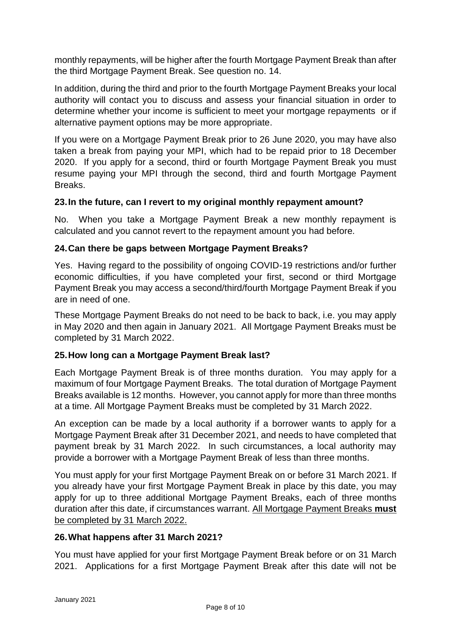monthly repayments, will be higher after the fourth Mortgage Payment Break than after the third Mortgage Payment Break. See question no. 14.

In addition, during the third and prior to the fourth Mortgage Payment Breaks your local authority will contact you to discuss and assess your financial situation in order to determine whether your income is sufficient to meet your mortgage repayments or if alternative payment options may be more appropriate.

If you were on a Mortgage Payment Break prior to 26 June 2020, you may have also taken a break from paying your MPI, which had to be repaid prior to 18 December 2020. If you apply for a second, third or fourth Mortgage Payment Break you must resume paying your MPI through the second, third and fourth Mortgage Payment Breaks.

#### **23.In the future, can I revert to my original monthly repayment amount?**

No. When you take a Mortgage Payment Break a new monthly repayment is calculated and you cannot revert to the repayment amount you had before.

### **24.Can there be gaps between Mortgage Payment Breaks?**

Yes. Having regard to the possibility of ongoing COVID-19 restrictions and/or further economic difficulties, if you have completed your first, second or third Mortgage Payment Break you may access a second/third/fourth Mortgage Payment Break if you are in need of one.

These Mortgage Payment Breaks do not need to be back to back, i.e. you may apply in May 2020 and then again in January 2021. All Mortgage Payment Breaks must be completed by 31 March 2022.

## **25.How long can a Mortgage Payment Break last?**

Each Mortgage Payment Break is of three months duration. You may apply for a maximum of four Mortgage Payment Breaks. The total duration of Mortgage Payment Breaks available is 12 months. However, you cannot apply for more than three months at a time. All Mortgage Payment Breaks must be completed by 31 March 2022.

An exception can be made by a local authority if a borrower wants to apply for a Mortgage Payment Break after 31 December 2021, and needs to have completed that payment break by 31 March 2022. In such circumstances, a local authority may provide a borrower with a Mortgage Payment Break of less than three months.

You must apply for your first Mortgage Payment Break on or before 31 March 2021. If you already have your first Mortgage Payment Break in place by this date, you may apply for up to three additional Mortgage Payment Breaks, each of three months duration after this date, if circumstances warrant. All Mortgage Payment Breaks **must** be completed by 31 March 2022.

#### **26.What happens after 31 March 2021?**

You must have applied for your first Mortgage Payment Break before or on 31 March 2021. Applications for a first Mortgage Payment Break after this date will not be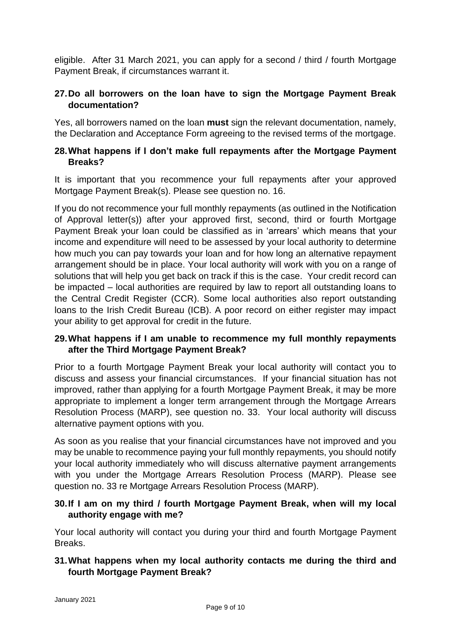eligible. After 31 March 2021, you can apply for a second / third / fourth Mortgage Payment Break, if circumstances warrant it.

### **27.Do all borrowers on the loan have to sign the Mortgage Payment Break documentation?**

Yes, all borrowers named on the loan **must** sign the relevant documentation, namely, the Declaration and Acceptance Form agreeing to the revised terms of the mortgage.

#### **28.What happens if I don't make full repayments after the Mortgage Payment Breaks?**

It is important that you recommence your full repayments after your approved Mortgage Payment Break(s). Please see question no. 16.

If you do not recommence your full monthly repayments (as outlined in the Notification of Approval letter(s)) after your approved first, second, third or fourth Mortgage Payment Break your loan could be classified as in 'arrears' which means that your income and expenditure will need to be assessed by your local authority to determine how much you can pay towards your loan and for how long an alternative repayment arrangement should be in place. Your local authority will work with you on a range of solutions that will help you get back on track if this is the case. Your credit record can be impacted – local authorities are required by law to report all outstanding loans to the Central Credit Register (CCR). Some local authorities also report outstanding loans to the Irish Credit Bureau (ICB). A poor record on either register may impact your ability to get approval for credit in the future.

### **29.What happens if I am unable to recommence my full monthly repayments after the Third Mortgage Payment Break?**

Prior to a fourth Mortgage Payment Break your local authority will contact you to discuss and assess your financial circumstances. If your financial situation has not improved, rather than applying for a fourth Mortgage Payment Break, it may be more appropriate to implement a longer term arrangement through the Mortgage Arrears Resolution Process (MARP), see question no. 33. Your local authority will discuss alternative payment options with you.

As soon as you realise that your financial circumstances have not improved and you may be unable to recommence paying your full monthly repayments, you should notify your local authority immediately who will discuss alternative payment arrangements with you under the Mortgage Arrears Resolution Process (MARP). Please see question no. 33 re Mortgage Arrears Resolution Process (MARP).

### **30.If I am on my third / fourth Mortgage Payment Break, when will my local authority engage with me?**

Your local authority will contact you during your third and fourth Mortgage Payment Breaks.

## **31.What happens when my local authority contacts me during the third and fourth Mortgage Payment Break?**